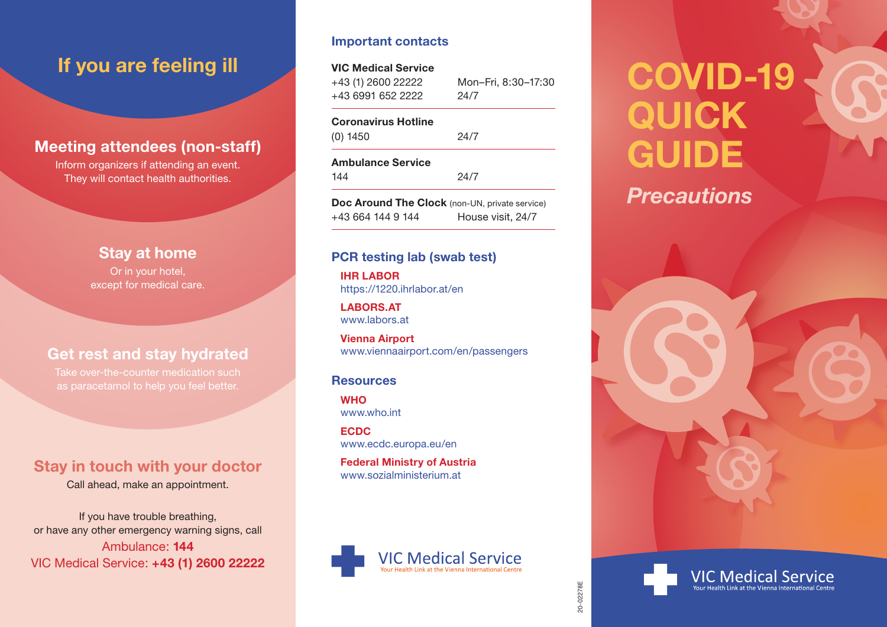#### **Meeting attendees (non-staff)**

Inform organizers if attending an event. They will contact health authorities.

#### **Stay at home**

Or in your hotel, except for medical care.

### **Get rest and stay hydrated**

#### **Stay in touch with your doctor**

Call ahead, make an appointment.

If you have trouble breathing, or have any other emergency warning signs, call Ambulance: **144** VIC Medical Service: **+43 (1) 2600 22222**

#### **Important contacts**

#### **VIC Medical Service**

+43 (1) 2600 22222 +43 6991 652 2222 Mon–Fri, 8:30–17:30 24/7

#### **Coronavirus Hotline**

(0) 1450 24/7

**Ambulance Service**

144 24/7

**Doc Around The Clock** (non-UN, private service) +43 664 144 9 144 House visit, 24/7

#### **PCR testing lab (swab test)**

**IHR LABOR** https://1220.ihrlabor.at/en

**LABORS.AT** www.labors.at

**Vienna Airport** www.viennaairport.com/en/passengers

#### **Resources**

**WHO** www.who.int

**ECDC** www.ecdc.europa.eu/en

**Federal Ministry of Austria** www.sozialministerium.at



# **If you are feeling ill**<br>  $\bullet$  **COVID-19 QUICK GUIDE**

# *Precautions*





20-02278E 20-02278E